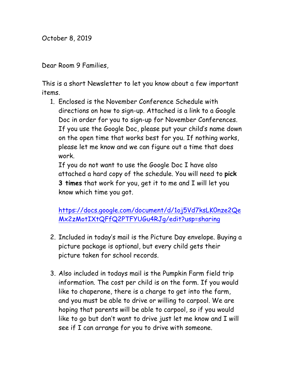October 8, 2019

Dear Room 9 Families,

This is a short Newsletter to let you know about a few important items.

1. Enclosed is the November Conference Schedule with directions on how to sign-up. Attached is a link to a Google Doc in order for you to sign-up for November Conferences. If you use the Google Doc, please put your child's name down on the open time that works best for you. If nothing works, please let me know and we can figure out a time that does work.

If you do not want to use the Google Doc I have also attached a hard copy of the schedule. You will need to **pick 3 times** that work for you, get it to me and I will let you know which time you got.

https://docs.google.com/document/d/1oj5Vd7ksLK0nze2Qe Mx2zMotIXtQFfQ2PTFYUGu4RJg/edit?usp=sharing

- 2. Included in today's mail is the Picture Day envelope. Buying a picture package is optional, but every child gets their picture taken for school records.
- 3. Also included in todays mail is the Pumpkin Farm field trip information. The cost per child is on the form. If you would like to chaperone, there is a charge to get into the farm, and you must be able to drive or willing to carpool. We are hoping that parents will be able to carpool, so if you would like to go but don't want to drive just let me know and I will see if I can arrange for you to drive with someone.